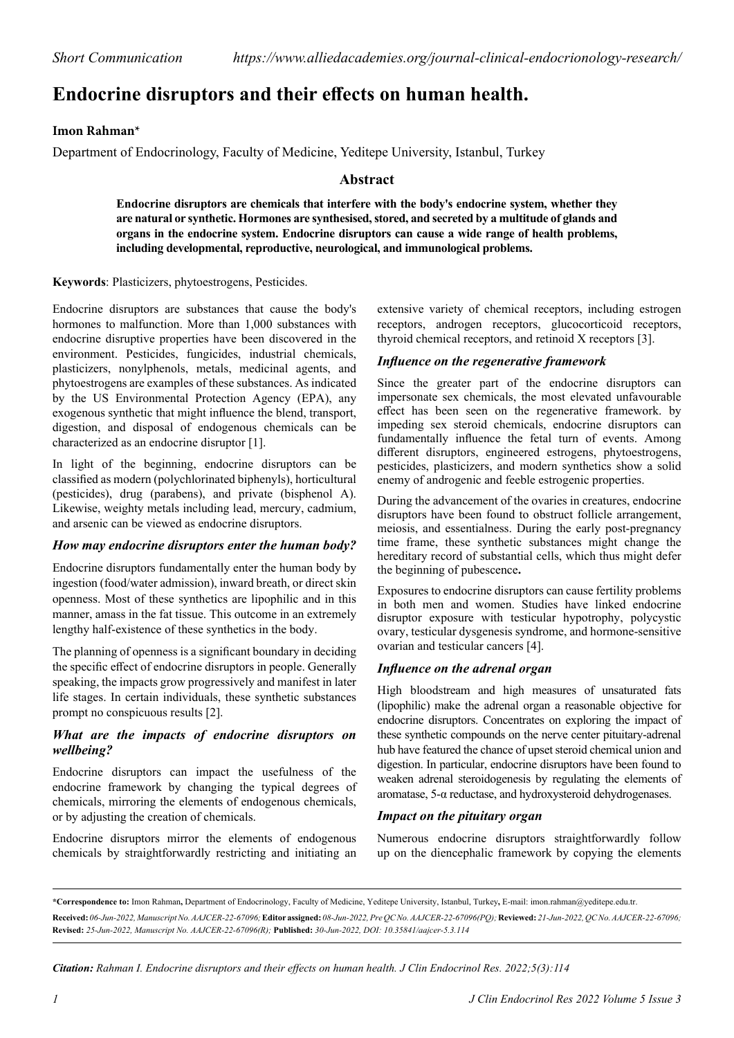# **Endocrine disruptors and their effects on human health.**

# **Imon Rahman\***

Department of Endocrinology, Faculty of Medicine, Yeditepe University, Istanbul, Turkey

## **Abstract**

**Endocrine disruptors are chemicals that interfere with the body's endocrine system, whether they are natural or synthetic. Hormones are synthesised, stored, and secreted by a multitude of glands and organs in the endocrine system. Endocrine disruptors can cause a wide range of health problems, including developmental, reproductive, neurological, and immunological problems.**

**Keywords**: Plasticizers, phytoestrogens, Pesticides.

Endocrine disruptors are substances that cause the body's hormones to malfunction. More than 1,000 substances with endocrine disruptive properties have been discovered in the environment. Pesticides, fungicides, industrial chemicals, plasticizers, nonylphenols, metals, medicinal agents, and phytoestrogens are examples of these substances. As indicated by the US Environmental Protection Agency (EPA), any exogenous synthetic that might influence the blend, transport, digestion, and disposal of endogenous chemicals can be characterized as an endocrine disruptor [1].

In light of the beginning, endocrine disruptors can be classified as modern (polychlorinated biphenyls), horticultural (pesticides), drug (parabens), and private (bisphenol A). Likewise, weighty metals including lead, mercury, cadmium, and arsenic can be viewed as endocrine disruptors.

#### *How may endocrine disruptors enter the human body?*

Endocrine disruptors fundamentally enter the human body by ingestion (food/water admission), inward breath, or direct skin openness. Most of these synthetics are lipophilic and in this manner, amass in the fat tissue. This outcome in an extremely lengthy half-existence of these synthetics in the body.

The planning of openness is a significant boundary in deciding the specific effect of endocrine disruptors in people. Generally speaking, the impacts grow progressively and manifest in later life stages. In certain individuals, these synthetic substances prompt no conspicuous results [2].

#### *What are the impacts of endocrine disruptors on wellbeing?*

Endocrine disruptors can impact the usefulness of the endocrine framework by changing the typical degrees of chemicals, mirroring the elements of endogenous chemicals, or by adjusting the creation of chemicals.

Endocrine disruptors mirror the elements of endogenous chemicals by straightforwardly restricting and initiating an extensive variety of chemical receptors, including estrogen receptors, androgen receptors, glucocorticoid receptors, thyroid chemical receptors, and retinoid X receptors [3].

## *Influence on the regenerative framework*

Since the greater part of the endocrine disruptors can impersonate sex chemicals, the most elevated unfavourable effect has been seen on the regenerative framework. by impeding sex steroid chemicals, endocrine disruptors can fundamentally influence the fetal turn of events. Among different disruptors, engineered estrogens, phytoestrogens, pesticides, plasticizers, and modern synthetics show a solid enemy of androgenic and feeble estrogenic properties.

During the advancement of the ovaries in creatures, endocrine disruptors have been found to obstruct follicle arrangement, meiosis, and essentialness. During the early post-pregnancy time frame, these synthetic substances might change the hereditary record of substantial cells, which thus might defer the beginning of pubescence**.**

Exposures to endocrine disruptors can cause fertility problems in both men and women. Studies have linked endocrine disruptor exposure with testicular hypotrophy, polycystic ovary, testicular dysgenesis syndrome, and hormone-sensitive ovarian and testicular cancers [4].

#### *Influence on the adrenal organ*

High bloodstream and high measures of unsaturated fats (lipophilic) make the adrenal organ a reasonable objective for endocrine disruptors. Concentrates on exploring the impact of these synthetic compounds on the nerve center pituitary-adrenal hub have featured the chance of upset steroid chemical union and digestion. In particular, endocrine disruptors have been found to weaken adrenal steroidogenesis by regulating the elements of aromatase, 5-α reductase, and hydroxysteroid dehydrogenases.

### *Impact on the pituitary organ*

Numerous endocrine disruptors straightforwardly follow up on the diencephalic framework by copying the elements

*Citation: Rahman I. Endocrine disruptors and their effects on human health. J Clin Endocrinol Res. 2022;5(3):114*

**<sup>\*</sup>Correspondence to:** Imon Rahman**,** Department of Endocrinology, Faculty of Medicine, Yeditepe University, Istanbul, Turkey**,** E-mail: imon.rahman@yeditepe.edu.tr. **Received:** *06-Jun-2022, Manuscript No. AAJCER-22-67096;* **Editor assigned:** *08-Jun-2022, Pre QC No. AAJCER-22-67096(PQ);* **Reviewed:** *21-Jun-2022, QC No. AAJCER-22-67096;*  **Revised:** *25-Jun-2022, Manuscript No. AAJCER-22-67096(R);* **Published:** *30-Jun-2022, DOI: 10.35841/aajcer-5.3.114*